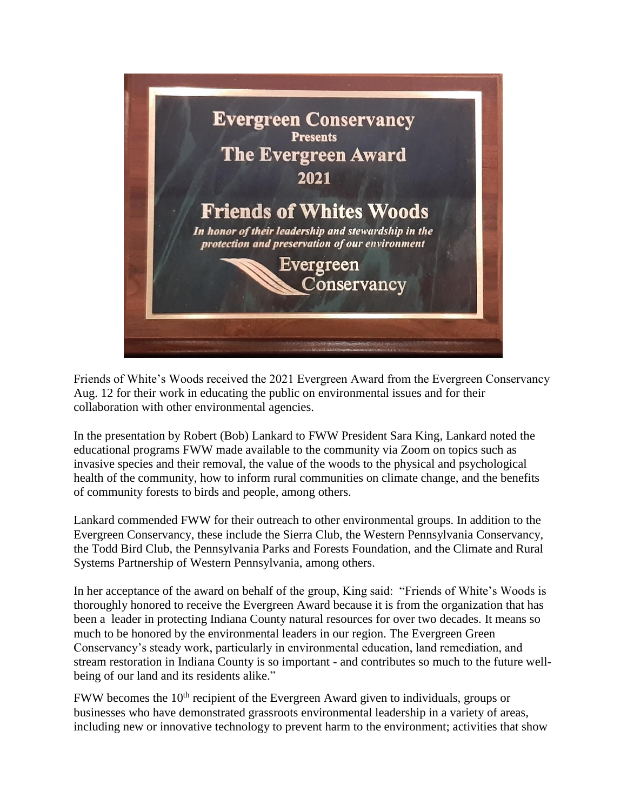

Friends of White's Woods received the 2021 Evergreen Award from the Evergreen Conservancy Aug. 12 for their work in educating the public on environmental issues and for their collaboration with other environmental agencies.

In the presentation by Robert (Bob) Lankard to FWW President Sara King, Lankard noted the educational programs FWW made available to the community via Zoom on topics such as invasive species and their removal, the value of the woods to the physical and psychological health of the community, how to inform rural communities on climate change, and the benefits of community forests to birds and people, among others.

Lankard commended FWW for their outreach to other environmental groups. In addition to the Evergreen Conservancy, these include the Sierra Club, the Western Pennsylvania Conservancy, the Todd Bird Club, the Pennsylvania Parks and Forests Foundation, and the Climate and Rural Systems Partnership of Western Pennsylvania, among others.

In her acceptance of the award on behalf of the group, King said: "Friends of White's Woods is thoroughly honored to receive the Evergreen Award because it is from the organization that has been a leader in protecting Indiana County natural resources for over two decades. It means so much to be honored by the environmental leaders in our region. The Evergreen Green Conservancy's steady work, particularly in environmental education, land remediation, and stream restoration in Indiana County is so important - and contributes so much to the future wellbeing of our land and its residents alike."

FWW becomes the 10<sup>th</sup> recipient of the Evergreen Award given to individuals, groups or businesses who have demonstrated grassroots environmental leadership in a variety of areas, including new or innovative technology to prevent harm to the environment; activities that show